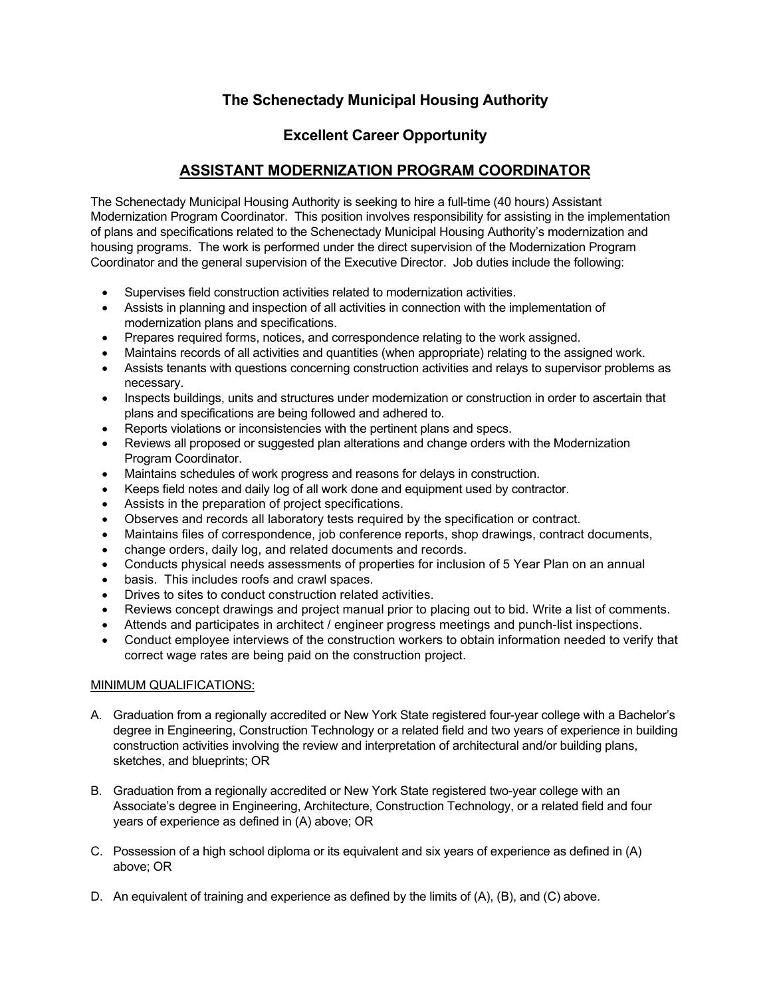## **The Schenectady Municipal Housing Authority**

## **Excellent Career Opportunity**

## **ASSISTANT MODERNIZATION PROGRAM COORDINATOR**

The Schenectady Municipal Housing Authority is seeking to hire a full-time (40 hours) Assistant Modernization Program Coordinator. This position involves responsibility for assisting in the implementation of plans and specifications related to the Schenectady Municipal Housing Authority's modernization and housing programs. The work is performed under the direct supervision of the Modernization Program Coordinator and the general supervision of the Executive Director. Job duties include the following:

- Supervises field construction activities related to modernization activities.
- Assists in planning and inspection of all activities in connection with the implementation of modernization plans and specifications.
- Prepares required forms, notices, and correspondence relating to the work assigned.
- Maintains records of all activities and quantities (when appropriate) relating to the assigned work.
- Assists tenants with questions concerning construction activities and relays to supervisor problems as necessary.
- Inspects buildings, units and structures under modernization or construction in order to ascertain that plans and specifications are being followed and adhered to.
- Reports violations or inconsistencies with the pertinent plans and specs.
- Reviews all proposed or suggested plan alterations and change orders with the Modernization Program Coordinator.
- Maintains schedules of work progress and reasons for delays in construction.
- Keeps field notes and daily log of all work done and equipment used by contractor.
- Assists in the preparation of project specifications.
- Observes and records all laboratory tests required by the specification or contract.
- Maintains files of correspondence, job conference reports, shop drawings, contract documents,
- change orders, daily log, and related documents and records.
- Conducts physical needs assessments of properties for inclusion of 5 Year Plan on an annual
- basis. This includes roofs and crawl spaces.
- Drives to sites to conduct construction related activities.
- Reviews concept drawings and project manual prior to placing out to bid. Write a list of comments.
- Attends and participates in architect / engineer progress meetings and punch-list inspections.
- Conduct employee interviews of the construction workers to obtain information needed to verify that correct wage rates are being paid on the construction project.

## MINIMUM QUALIFICATIONS:

- A. Graduation from a regionally accredited or New York State registered four-year college with a Bachelor's degree in Engineering, Construction Technology or a related field and two years of experience in building construction activities involving the review and interpretation of architectural and/or building plans, sketches, and blueprints; OR
- B. Graduation from a regionally accredited or New York State registered two-year college with an Associate's degree in Engineering, Architecture, Construction Technology, or a related field and four years of experience as defined in (A) above; OR
- C. Possession of a high school diploma or its equivalent and six years of experience as defined in (A) above; OR
- D. An equivalent of training and experience as defined by the limits of (A), (B), and (C) above.